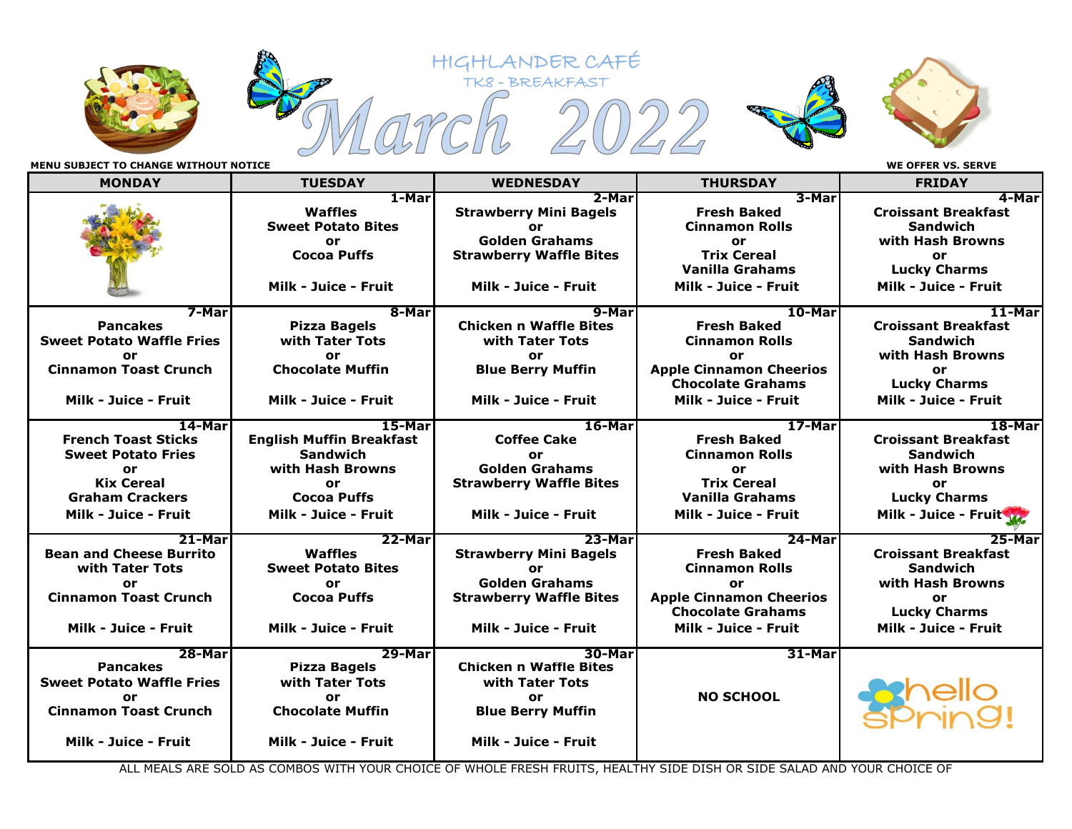









**MENU SUBJECT TO CHANGE WITHOUT NOTICE WE OFFER VS. SERVE**

| <b>MONDAY</b>                                                                                                                                  | <b>TUESDAY</b>                                                                                                                       | <b>WEDNESDAY</b>                                                                                                                     | <b>THURSDAY</b>                                                                                                                                   | <b>FRIDAY</b>                                                                                                                    |
|------------------------------------------------------------------------------------------------------------------------------------------------|--------------------------------------------------------------------------------------------------------------------------------------|--------------------------------------------------------------------------------------------------------------------------------------|---------------------------------------------------------------------------------------------------------------------------------------------------|----------------------------------------------------------------------------------------------------------------------------------|
|                                                                                                                                                | 1-Mar<br>Waffles<br><b>Sweet Potato Bites</b><br>or<br><b>Cocoa Puffs</b><br>Milk - Juice - Fruit                                    | 2-Mar<br><b>Strawberry Mini Bagels</b><br>or<br><b>Golden Grahams</b><br><b>Strawberry Waffle Bites</b><br>Milk - Juice - Fruit      | 3-Marl<br><b>Fresh Baked</b><br><b>Cinnamon Rolls</b><br>or<br><b>Trix Cereal</b><br><b>Vanilla Grahams</b><br>Milk - Juice - Fruit               | 4-Marl<br><b>Croissant Breakfast</b><br><b>Sandwich</b><br>with Hash Browns<br>or<br><b>Lucky Charms</b><br>Milk - Juice - Fruit |
| 7-Mar<br><b>Pancakes</b><br><b>Sweet Potato Waffle Fries</b><br>or<br><b>Cinnamon Toast Crunch</b><br>Milk - Juice - Fruit                     | 8-Mar<br><b>Pizza Bagels</b><br>with Tater Tots<br>or<br><b>Chocolate Muffin</b><br>Milk - Juice - Fruit                             | 9-Mar<br><b>Chicken n Waffle Bites</b><br>with Tater Tots<br>or<br><b>Blue Berry Muffin</b><br>Milk - Juice - Fruit                  | 10-Mar<br><b>Fresh Baked</b><br><b>Cinnamon Rolls</b><br>or<br><b>Apple Cinnamon Cheerios</b><br><b>Chocolate Grahams</b><br>Milk - Juice - Fruit | 11-Mar<br><b>Croissant Breakfast</b><br><b>Sandwich</b><br>with Hash Browns<br>or<br><b>Lucky Charms</b><br>Milk - Juice - Fruit |
| 14-Mar<br><b>French Toast Sticks</b><br><b>Sweet Potato Fries</b><br>or<br><b>Kix Cereal</b><br><b>Graham Crackers</b><br>Milk - Juice - Fruit | 15-Mar<br><b>English Muffin Breakfast</b><br><b>Sandwich</b><br>with Hash Browns<br>or<br><b>Cocoa Puffs</b><br>Milk - Juice - Fruit | 16-Mar<br><b>Coffee Cake</b><br>or<br><b>Golden Grahams</b><br><b>Strawberry Waffle Bites</b><br>Milk - Juice - Fruit                | 17-Mar<br><b>Fresh Baked</b><br><b>Cinnamon Rolls</b><br>or<br><b>Trix Cereal</b><br><b>Vanilla Grahams</b><br>Milk - Juice - Fruit               | 18-Mar<br><b>Croissant Breakfast</b><br><b>Sandwich</b><br>with Hash Browns<br>or<br><b>Lucky Charms</b><br>Milk - Juice - Fruit |
| 21-Mar<br><b>Bean and Cheese Burrito</b><br>with Tater Tots<br>or<br><b>Cinnamon Toast Crunch</b><br>Milk - Juice - Fruit                      | 22-Mar<br>Waffles<br><b>Sweet Potato Bites</b><br>or<br><b>Cocoa Puffs</b><br>Milk - Juice - Fruit                                   | $23 - Mar$<br><b>Strawberry Mini Bagels</b><br>or<br><b>Golden Grahams</b><br><b>Strawberry Waffle Bites</b><br>Milk - Juice - Fruit | 24-Mar<br><b>Fresh Baked</b><br><b>Cinnamon Rolls</b><br>or<br><b>Apple Cinnamon Cheerios</b><br><b>Chocolate Grahams</b><br>Milk - Juice - Fruit | 25-Mar<br><b>Croissant Breakfast</b><br><b>Sandwich</b><br>with Hash Browns<br>or<br><b>Lucky Charms</b><br>Milk - Juice - Fruit |
| 28-Mar<br><b>Pancakes</b><br><b>Sweet Potato Waffle Fries</b><br>or<br><b>Cinnamon Toast Crunch</b><br>Milk - Juice - Fruit                    | 29-Mar<br><b>Pizza Bagels</b><br>with Tater Tots<br>or<br><b>Chocolate Muffin</b><br>Milk - Juice - Fruit                            | 30-Mar<br><b>Chicken n Waffle Bites</b><br>with Tater Tots<br>or<br><b>Blue Berry Muffin</b><br>Milk - Juice - Fruit                 | 31-Mar<br><b>NO SCHOOL</b>                                                                                                                        |                                                                                                                                  |

HIGHLANDER CAFÉ

ALL MEALS ARE SOLD AS COMBOS WITH YOUR CHOICE OF WHOLE FRESH FRUITS, HEALTHY SIDE DISH OR SIDE SALAD AND YOUR CHOICE OF